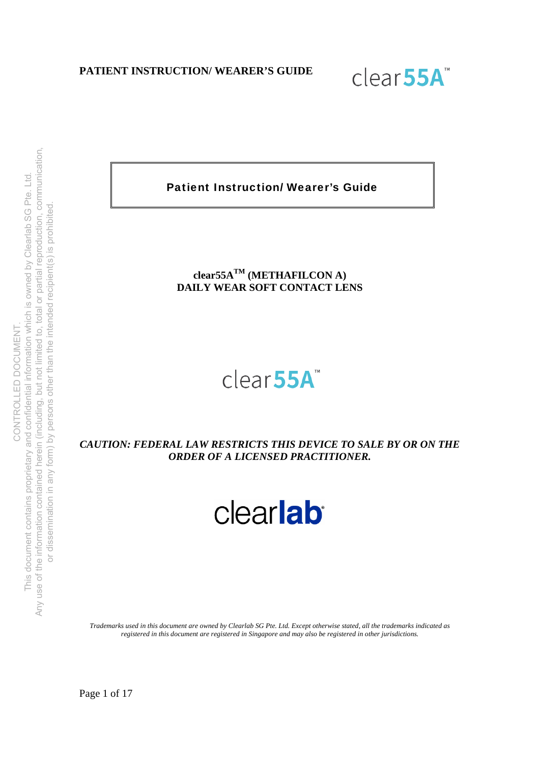

Patient Instruction/ Wearer's Guide

# **clear55ATM (METHAFILCON A) DAILY WEAR SOFT CONTACT LENS**

# clear<sub>55A</sub>

*CAUTION: FEDERAL LAW RESTRICTS THIS DEVICE TO SALE BY OR ON THE ORDER OF A LICENSED PRACTITIONER.* 

clearlab

*Trademarks used in this document are owned by Clearlab SG Pte. Ltd. Except otherwise stated, all the trademarks indicated as registered in this document are registered in Singapore and may also be registered in other jurisdictions.* 

Page 1 of 17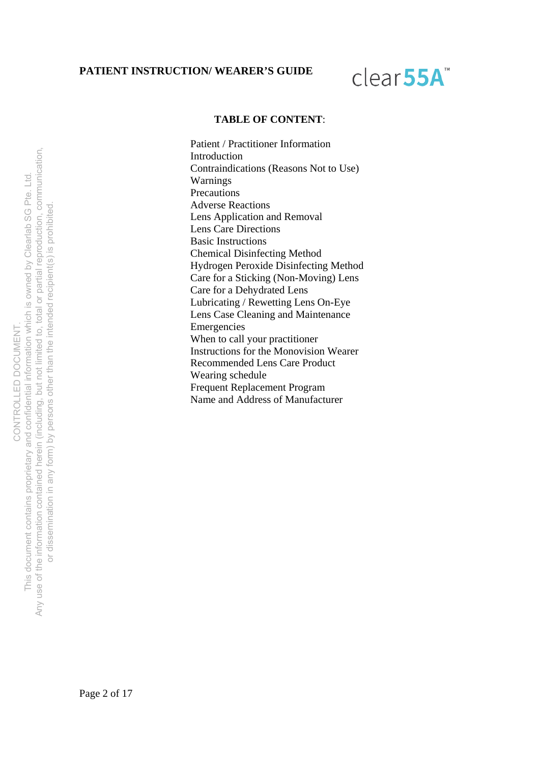# clear<sub>55A</sub>

#### **TABLE OF CONTENT**:

Patient / Practitioner Information Introduction Contraindications (Reasons Not to Use) Warnings Precautions Adverse Reactions Lens Application and Removal Lens Care Directions Basic Instructions Chemical Disinfecting Method Hydrogen Peroxide Disinfecting Method Care for a Sticking (Non-Moving) Lens Care for a Dehydrated Lens Lubricating / Rewetting Lens On-Eye Lens Case Cleaning and Maintenance Emergencies When to call your practitioner Instructions for the Monovision Wearer Recommended Lens Care Product Wearing schedule Frequent Replacement Program Name and Address of Manufacturer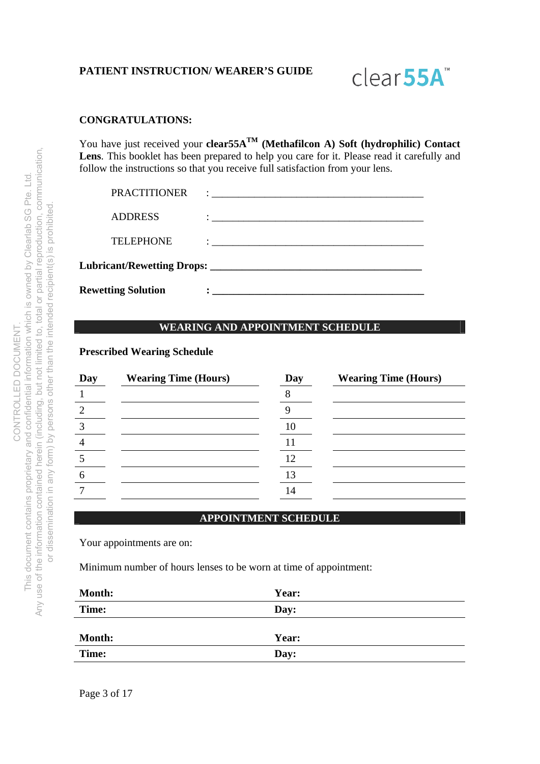

### **CONGRATULATIONS:**

You have just received your **clear55A**<sup>TM</sup> (Methafilcon A) Soft (hydrophilic) Contact Lens. This booklet has been prepared to help you care for it. Please read it carefully and follow the instructions so that you receive full satisfaction from your lens.

| <b>Rewetting Solution</b> | $\ddot{\bullet}$ . The contract of the contract of the contract of the contract of the contract of the contract of the contract of the contract of the contract of the contract of the contract of the contract of the contract of th |  |
|---------------------------|---------------------------------------------------------------------------------------------------------------------------------------------------------------------------------------------------------------------------------------|--|
|                           |                                                                                                                                                                                                                                       |  |
| <b>TELEPHONE</b>          | $\ddot{\cdot}$ . The contract of the contract of the contract of the contract of the contract of the contract of the contract of the contract of the contract of the contract of the contract of the contract of the contract of th   |  |
| <b>ADDRESS</b>            |                                                                                                                                                                                                                                       |  |
| PRACTITIONER              |                                                                                                                                                                                                                                       |  |

## **WEARING AND APPOINTMENT SCHEDULE**

#### **Prescribed Wearing Schedule**

| Day | <b>Wearing Time (Hours)</b> | Day | <b>Wearing Time (Hours)</b> |
|-----|-----------------------------|-----|-----------------------------|
|     |                             |     |                             |
| 2   |                             |     |                             |
| 3   |                             |     |                             |
|     |                             |     |                             |
|     |                             | 12  |                             |
| 6   |                             | 13  |                             |
|     |                             | 14  |                             |

#### **APPOINTMENT SCHEDULE**

Your appointments are on:

Minimum number of hours lenses to be worn at time of appointment:

| <b>Month:</b> | Year: |
|---------------|-------|
| Time:         | Day:  |
|               |       |
| <b>Month:</b> | Year: |
| Time:         | Day:  |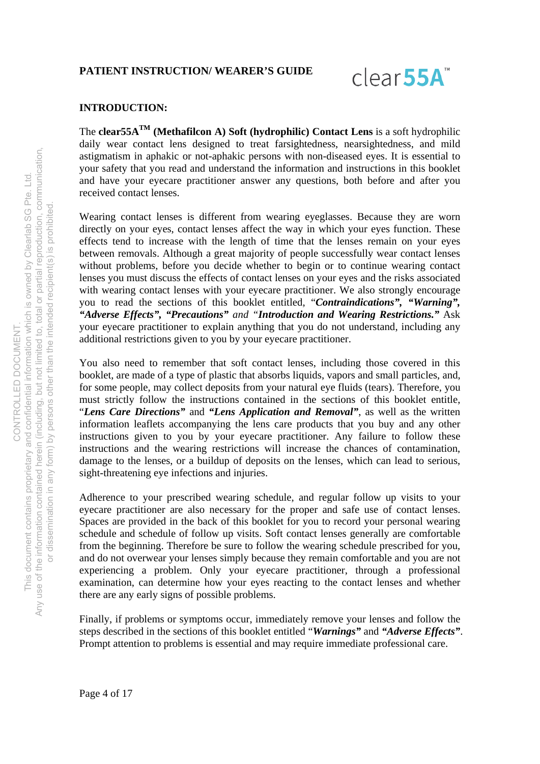

### **INTRODUCTION:**

The **clear55ATM (Methafilcon A) Soft (hydrophilic) Contact Lens** is a soft hydrophilic daily wear contact lens designed to treat farsightedness, nearsightedness, and mild astigmatism in aphakic or not-aphakic persons with non-diseased eyes. It is essential to your safety that you read and understand the information and instructions in this booklet and have your eyecare practitioner answer any questions, both before and after you received contact lenses.

Wearing contact lenses is different from wearing eyeglasses. Because they are worn directly on your eyes, contact lenses affect the way in which your eyes function. These effects tend to increase with the length of time that the lenses remain on your eyes between removals. Although a great majority of people successfully wear contact lenses without problems, before you decide whether to begin or to continue wearing contact lenses you must discuss the effects of contact lenses on your eyes and the risks associated with wearing contact lenses with your eyecare practitioner. We also strongly encourage you to read the sections of this booklet entitled, "*Contraindications", "Warning", "Adverse Effects", "Precautions" and "Introduction and Wearing Restrictions."* Ask your eyecare practitioner to explain anything that you do not understand, including any additional restrictions given to you by your eyecare practitioner.

You also need to remember that soft contact lenses, including those covered in this booklet, are made of a type of plastic that absorbs liquids, vapors and small particles, and, for some people, may collect deposits from your natural eye fluids (tears). Therefore, you must strictly follow the instructions contained in the sections of this booklet entitle, "*Lens Care Directions"* and *"Lens Application and Removal"*, as well as the written information leaflets accompanying the lens care products that you buy and any other instructions given to you by your eyecare practitioner. Any failure to follow these instructions and the wearing restrictions will increase the chances of contamination, damage to the lenses, or a buildup of deposits on the lenses, which can lead to serious, sight-threatening eye infections and injuries.

Adherence to your prescribed wearing schedule, and regular follow up visits to your eyecare practitioner are also necessary for the proper and safe use of contact lenses. Spaces are provided in the back of this booklet for you to record your personal wearing schedule and schedule of follow up visits. Soft contact lenses generally are comfortable from the beginning. Therefore be sure to follow the wearing schedule prescribed for you, and do not overwear your lenses simply because they remain comfortable and you are not experiencing a problem. Only your eyecare practitioner, through a professional examination, can determine how your eyes reacting to the contact lenses and whether there are any early signs of possible problems.

Finally, if problems or symptoms occur, immediately remove your lenses and follow the steps described in the sections of this booklet entitled "*Warnings"* and *"Adverse Effects"*. Prompt attention to problems is essential and may require immediate professional care.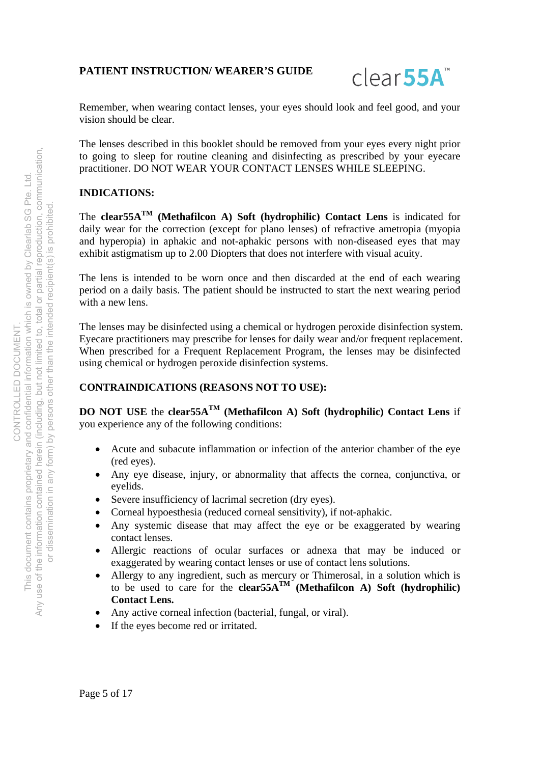

Remember, when wearing contact lenses, your eyes should look and feel good, and your vision should be clear.

The lenses described in this booklet should be removed from your eyes every night prior to going to sleep for routine cleaning and disinfecting as prescribed by your eyecare practitioner. DO NOT WEAR YOUR CONTACT LENSES WHILE SLEEPING.

## **INDICATIONS:**

The **clear55ATM (Methafilcon A) Soft (hydrophilic) Contact Lens** is indicated for daily wear for the correction (except for plano lenses) of refractive ametropia (myopia and hyperopia) in aphakic and not-aphakic persons with non-diseased eyes that may exhibit astigmatism up to 2.00 Diopters that does not interfere with visual acuity.

The lens is intended to be worn once and then discarded at the end of each wearing period on a daily basis. The patient should be instructed to start the next wearing period with a new lens.

The lenses may be disinfected using a chemical or hydrogen peroxide disinfection system. Eyecare practitioners may prescribe for lenses for daily wear and/or frequent replacement. When prescribed for a Frequent Replacement Program, the lenses may be disinfected using chemical or hydrogen peroxide disinfection systems.

## **CONTRAINDICATIONS (REASONS NOT TO USE):**

**DO NOT USE** the **clear55A**<sup>TM</sup> (Methafilcon A) Soft (hydrophilic) Contact Lens if you experience any of the following conditions:

- Acute and subacute inflammation or infection of the anterior chamber of the eye (red eyes).
- Any eye disease, injury, or abnormality that affects the cornea, conjunctiva, or eyelids.
- Severe insufficiency of lacrimal secretion (dry eyes).
- Corneal hypoesthesia (reduced corneal sensitivity), if not-aphakic.
- Any systemic disease that may affect the eye or be exaggerated by wearing contact lenses.
- Allergic reactions of ocular surfaces or adnexa that may be induced or exaggerated by wearing contact lenses or use of contact lens solutions.
- Allergy to any ingredient, such as mercury or Thimerosal, in a solution which is to be used to care for the **clear55A**<sup>TM</sup> (Methafilcon A) Soft (hydrophilic) **Contact Lens.**
- Any active corneal infection (bacterial, fungal, or viral).
- If the eyes become red or irritated.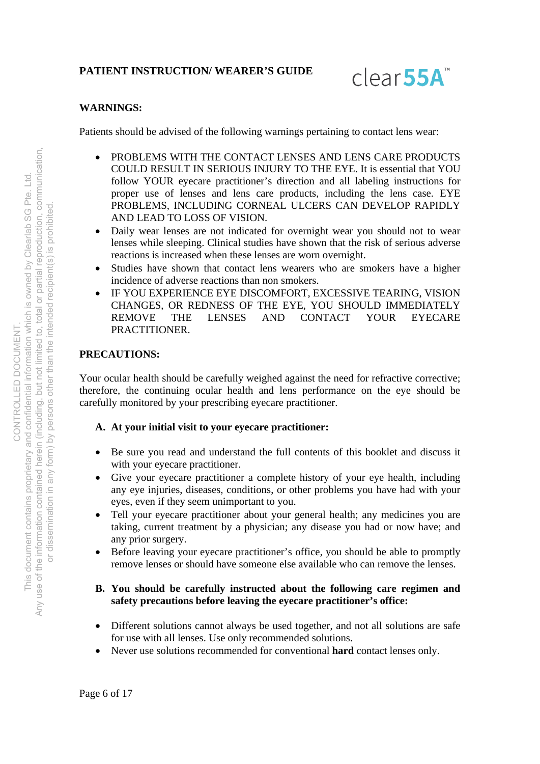

## **WARNINGS:**

Patients should be advised of the following warnings pertaining to contact lens wear:

- PROBLEMS WITH THE CONTACT LENSES AND LENS CARE PRODUCTS COULD RESULT IN SERIOUS INJURY TO THE EYE. It is essential that YOU follow YOUR eyecare practitioner's direction and all labeling instructions for proper use of lenses and lens care products, including the lens case. EYE PROBLEMS, INCLUDING CORNEAL ULCERS CAN DEVELOP RAPIDLY AND LEAD TO LOSS OF VISION.
- Daily wear lenses are not indicated for overnight wear you should not to wear lenses while sleeping. Clinical studies have shown that the risk of serious adverse reactions is increased when these lenses are worn overnight.
- Studies have shown that contact lens wearers who are smokers have a higher incidence of adverse reactions than non smokers.
- IF YOU EXPERIENCE EYE DISCOMFORT, EXCESSIVE TEARING, VISION CHANGES, OR REDNESS OF THE EYE, YOU SHOULD IMMEDIATELY REMOVE THE LENSES AND CONTACT YOUR EYECARE PRACTITIONER.

## **PRECAUTIONS:**

Your ocular health should be carefully weighed against the need for refractive corrective; therefore, the continuing ocular health and lens performance on the eye should be carefully monitored by your prescribing eyecare practitioner.

## **A. At your initial visit to your eyecare practitioner:**

- Be sure you read and understand the full contents of this booklet and discuss it with your eyecare practitioner.
- Give your eyecare practitioner a complete history of your eye health, including any eye injuries, diseases, conditions, or other problems you have had with your eyes, even if they seem unimportant to you.
- Tell your eyecare practitioner about your general health; any medicines you are taking, current treatment by a physician; any disease you had or now have; and any prior surgery.
- Before leaving your eyecare practitioner's office, you should be able to promptly remove lenses or should have someone else available who can remove the lenses.

## **B. You should be carefully instructed about the following care regimen and safety precautions before leaving the eyecare practitioner's office:**

- Different solutions cannot always be used together, and not all solutions are safe for use with all lenses. Use only recommended solutions.
- Never use solutions recommended for conventional **hard** contact lenses only.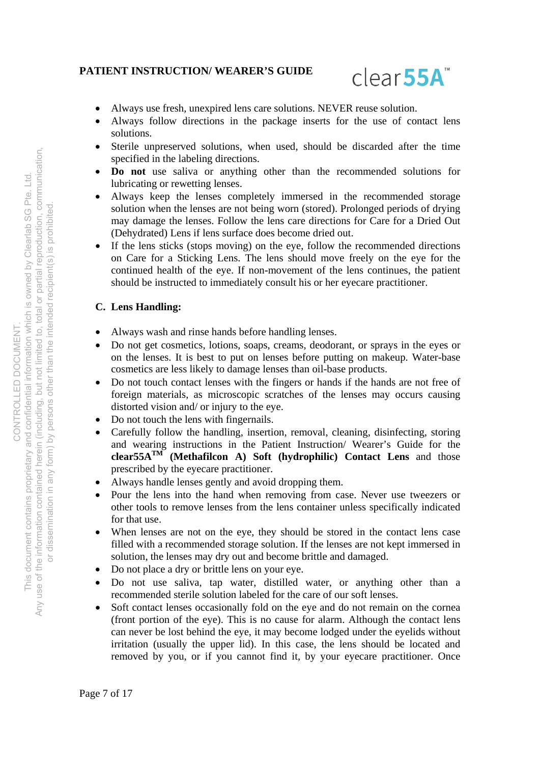

- Always use fresh, unexpired lens care solutions. NEVER reuse solution.
- Always follow directions in the package inserts for the use of contact lens solutions.
- Sterile unpreserved solutions, when used, should be discarded after the time specified in the labeling directions.
- **Do not** use saliva or anything other than the recommended solutions for lubricating or rewetting lenses.
- Always keep the lenses completely immersed in the recommended storage solution when the lenses are not being worn (stored). Prolonged periods of drying may damage the lenses. Follow the lens care directions for Care for a Dried Out (Dehydrated) Lens if lens surface does become dried out.
- If the lens sticks (stops moving) on the eye, follow the recommended directions on Care for a Sticking Lens. The lens should move freely on the eye for the continued health of the eye. If non-movement of the lens continues, the patient should be instructed to immediately consult his or her eyecare practitioner.

## **C. Lens Handling:**

- Always wash and rinse hands before handling lenses.
- Do not get cosmetics, lotions, soaps, creams, deodorant, or sprays in the eyes or on the lenses. It is best to put on lenses before putting on makeup. Water-base cosmetics are less likely to damage lenses than oil-base products.
- Do not touch contact lenses with the fingers or hands if the hands are not free of foreign materials, as microscopic scratches of the lenses may occurs causing distorted vision and/ or injury to the eye.
- Do not touch the lens with fingernails.
- Carefully follow the handling, insertion, removal, cleaning, disinfecting, storing and wearing instructions in the Patient Instruction/ Wearer's Guide for the **clear55A<sup>TM</sup> (Methafilcon A) Soft (hydrophilic) Contact Lens** and those prescribed by the eyecare practitioner.
- Always handle lenses gently and avoid dropping them.
- Pour the lens into the hand when removing from case. Never use tweezers or other tools to remove lenses from the lens container unless specifically indicated for that use.
- When lenses are not on the eye, they should be stored in the contact lens case filled with a recommended storage solution. If the lenses are not kept immersed in solution, the lenses may dry out and become brittle and damaged.
- Do not place a dry or brittle lens on your eye.
- Do not use saliva, tap water, distilled water, or anything other than a recommended sterile solution labeled for the care of our soft lenses.
- Soft contact lenses occasionally fold on the eye and do not remain on the cornea (front portion of the eye). This is no cause for alarm. Although the contact lens can never be lost behind the eye, it may become lodged under the eyelids without irritation (usually the upper lid). In this case, the lens should be located and removed by you, or if you cannot find it, by your eyecare practitioner. Once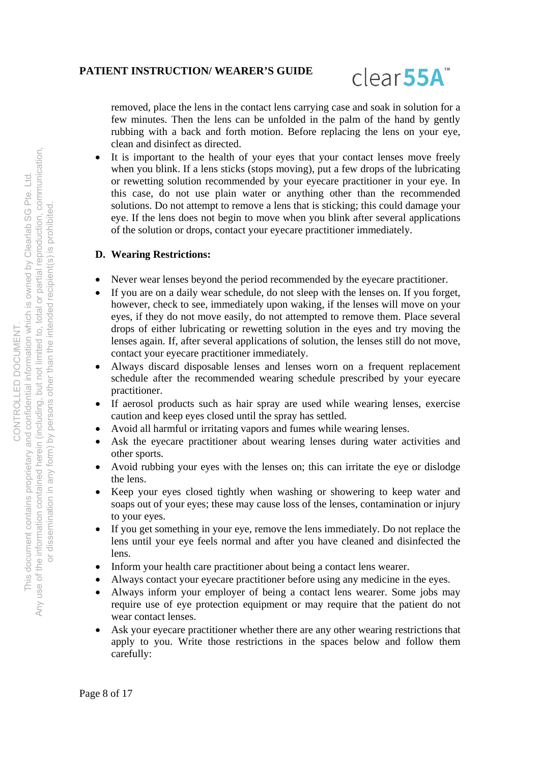

removed, place the lens in the contact lens carrying case and soak in solution for a few minutes. Then the lens can be unfolded in the palm of the hand by gently rubbing with a back and forth motion. Before replacing the lens on your eye, clean and disinfect as directed.

 It is important to the health of your eyes that your contact lenses move freely when you blink. If a lens sticks (stops moving), put a few drops of the lubricating or rewetting solution recommended by your eyecare practitioner in your eye. In this case, do not use plain water or anything other than the recommended solutions. Do not attempt to remove a lens that is sticking; this could damage your eye. If the lens does not begin to move when you blink after several applications of the solution or drops, contact your eyecare practitioner immediately.

## **D. Wearing Restrictions:**

- Never wear lenses beyond the period recommended by the eyecare practitioner.
- If you are on a daily wear schedule, do not sleep with the lenses on. If you forget, however, check to see, immediately upon waking, if the lenses will move on your eyes, if they do not move easily, do not attempted to remove them. Place several drops of either lubricating or rewetting solution in the eyes and try moving the lenses again. If, after several applications of solution, the lenses still do not move, contact your eyecare practitioner immediately.
- Always discard disposable lenses and lenses worn on a frequent replacement schedule after the recommended wearing schedule prescribed by your eyecare practitioner.
- If aerosol products such as hair spray are used while wearing lenses, exercise caution and keep eyes closed until the spray has settled.
- Avoid all harmful or irritating vapors and fumes while wearing lenses.
- Ask the eyecare practitioner about wearing lenses during water activities and other sports.
- Avoid rubbing your eyes with the lenses on; this can irritate the eye or dislodge the lens.
- Keep your eyes closed tightly when washing or showering to keep water and soaps out of your eyes; these may cause loss of the lenses, contamination or injury to your eyes.
- If you get something in your eye, remove the lens immediately. Do not replace the lens until your eye feels normal and after you have cleaned and disinfected the lens.
- Inform your health care practitioner about being a contact lens wearer.
- Always contact your eyecare practitioner before using any medicine in the eyes.
- Always inform your employer of being a contact lens wearer. Some jobs may require use of eye protection equipment or may require that the patient do not wear contact lenses.
- Ask your eyecare practitioner whether there are any other wearing restrictions that apply to you. Write those restrictions in the spaces below and follow them carefully: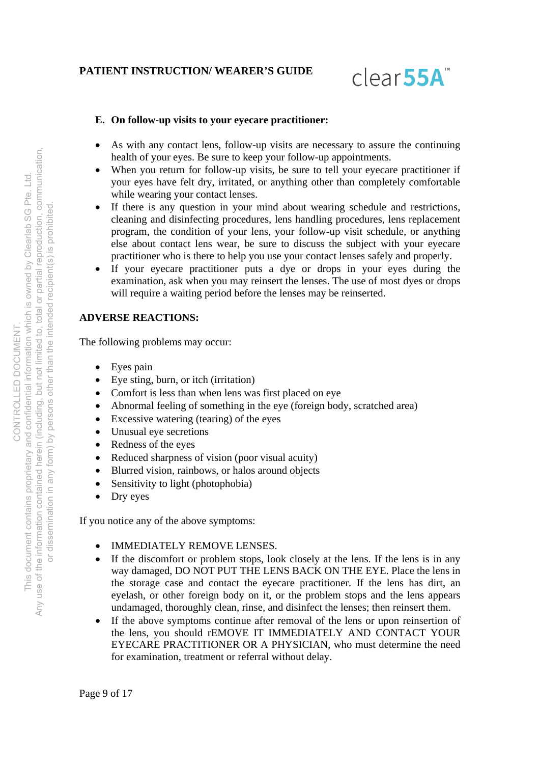

## **E. On follow-up visits to your eyecare practitioner:**

- As with any contact lens, follow-up visits are necessary to assure the continuing health of your eyes. Be sure to keep your follow-up appointments.
- When you return for follow-up visits, be sure to tell your eyecare practitioner if your eyes have felt dry, irritated, or anything other than completely comfortable while wearing your contact lenses.
- If there is any question in your mind about wearing schedule and restrictions, cleaning and disinfecting procedures, lens handling procedures, lens replacement program, the condition of your lens, your follow-up visit schedule, or anything else about contact lens wear, be sure to discuss the subject with your eyecare practitioner who is there to help you use your contact lenses safely and properly.
- If your eyecare practitioner puts a dye or drops in your eyes during the examination, ask when you may reinsert the lenses. The use of most dyes or drops will require a waiting period before the lenses may be reinserted.

## **ADVERSE REACTIONS:**

The following problems may occur:

- Eyes pain
- Eye sting, burn, or itch (irritation)
- Comfort is less than when lens was first placed on eye
- Abnormal feeling of something in the eye (foreign body, scratched area)
- Excessive watering (tearing) of the eyes
- Unusual eye secretions
- Redness of the eyes
- Reduced sharpness of vision (poor visual acuity)
- Blurred vision, rainbows, or halos around objects
- Sensitivity to light (photophobia)
- Dry eyes

If you notice any of the above symptoms:

- IMMEDIATELY REMOVE LENSES.
- If the discomfort or problem stops, look closely at the lens. If the lens is in any way damaged, DO NOT PUT THE LENS BACK ON THE EYE. Place the lens in the storage case and contact the eyecare practitioner. If the lens has dirt, an eyelash, or other foreign body on it, or the problem stops and the lens appears undamaged, thoroughly clean, rinse, and disinfect the lenses; then reinsert them.
- If the above symptoms continue after removal of the lens or upon reinsertion of the lens, you should rEMOVE IT IMMEDIATELY AND CONTACT YOUR EYECARE PRACTITIONER OR A PHYSICIAN, who must determine the need for examination, treatment or referral without delay.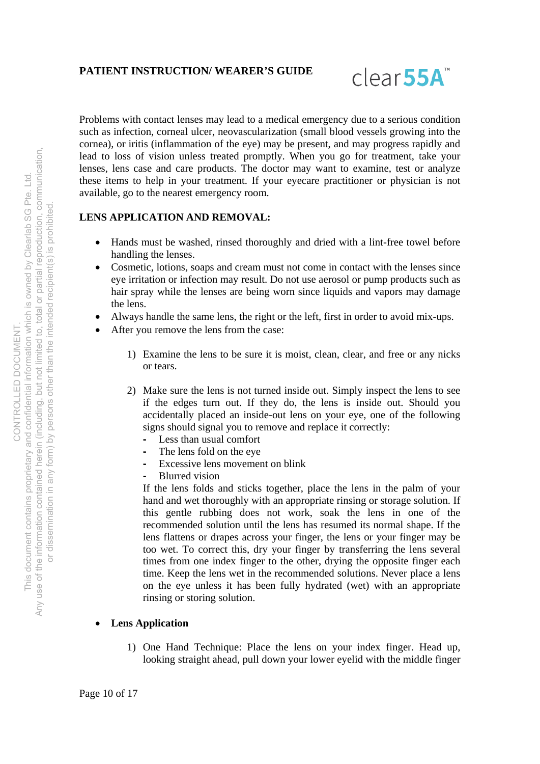

Problems with contact lenses may lead to a medical emergency due to a serious condition such as infection, corneal ulcer, neovascularization (small blood vessels growing into the cornea), or iritis (inflammation of the eye) may be present, and may progress rapidly and lead to loss of vision unless treated promptly. When you go for treatment, take your lenses, lens case and care products. The doctor may want to examine, test or analyze these items to help in your treatment. If your eyecare practitioner or physician is not available, go to the nearest emergency room.

# **LENS APPLICATION AND REMOVAL:**

- Hands must be washed, rinsed thoroughly and dried with a lint-free towel before handling the lenses.
- Cosmetic, lotions, soaps and cream must not come in contact with the lenses since eye irritation or infection may result. Do not use aerosol or pump products such as hair spray while the lenses are being worn since liquids and vapors may damage the lens.
- Always handle the same lens, the right or the left, first in order to avoid mix-ups.
- After you remove the lens from the case:
	- 1) Examine the lens to be sure it is moist, clean, clear, and free or any nicks or tears.
	- 2) Make sure the lens is not turned inside out. Simply inspect the lens to see if the edges turn out. If they do, the lens is inside out. Should you accidentally placed an inside-out lens on your eye, one of the following signs should signal you to remove and replace it correctly:
		- Less than usual comfort
		- The lens fold on the eye
		- Excessive lens movement on blink
		- Blurred vision

If the lens folds and sticks together, place the lens in the palm of your hand and wet thoroughly with an appropriate rinsing or storage solution. If this gentle rubbing does not work, soak the lens in one of the recommended solution until the lens has resumed its normal shape. If the lens flattens or drapes across your finger, the lens or your finger may be too wet. To correct this, dry your finger by transferring the lens several times from one index finger to the other, drying the opposite finger each time. Keep the lens wet in the recommended solutions. Never place a lens on the eye unless it has been fully hydrated (wet) with an appropriate rinsing or storing solution.

## **Lens Application**

1) One Hand Technique: Place the lens on your index finger. Head up, looking straight ahead, pull down your lower eyelid with the middle finger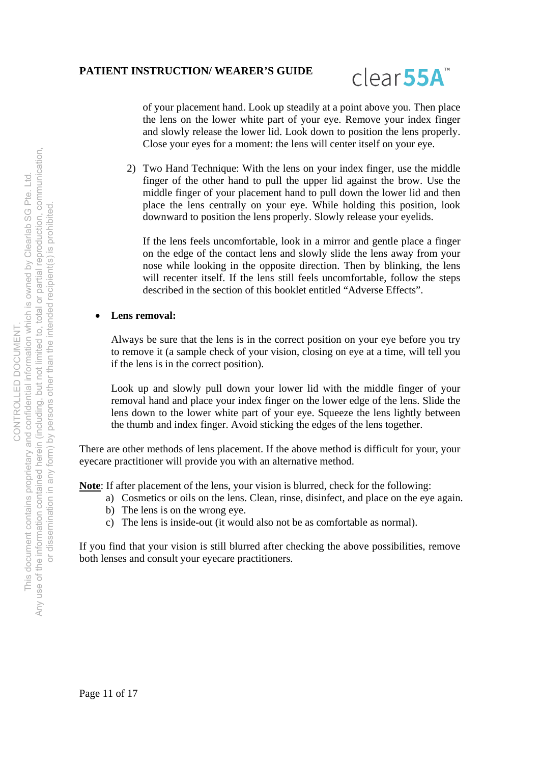

of your placement hand. Look up steadily at a point above you. Then place the lens on the lower white part of your eye. Remove your index finger and slowly release the lower lid. Look down to position the lens properly. Close your eyes for a moment: the lens will center itself on your eye.

2) Two Hand Technique: With the lens on your index finger, use the middle finger of the other hand to pull the upper lid against the brow. Use the middle finger of your placement hand to pull down the lower lid and then place the lens centrally on your eye. While holding this position, look downward to position the lens properly. Slowly release your eyelids.

If the lens feels uncomfortable, look in a mirror and gentle place a finger on the edge of the contact lens and slowly slide the lens away from your nose while looking in the opposite direction. Then by blinking, the lens will recenter itself. If the lens still feels uncomfortable, follow the steps described in the section of this booklet entitled "Adverse Effects".

#### **Lens removal:**

Always be sure that the lens is in the correct position on your eye before you try to remove it (a sample check of your vision, closing on eye at a time, will tell you if the lens is in the correct position).

Look up and slowly pull down your lower lid with the middle finger of your removal hand and place your index finger on the lower edge of the lens. Slide the lens down to the lower white part of your eye. Squeeze the lens lightly between the thumb and index finger. Avoid sticking the edges of the lens together.

There are other methods of lens placement. If the above method is difficult for your, your eyecare practitioner will provide you with an alternative method.

**Note**: If after placement of the lens, your vision is blurred, check for the following:

- a) Cosmetics or oils on the lens. Clean, rinse, disinfect, and place on the eye again.
- b) The lens is on the wrong eye.
- c) The lens is inside-out (it would also not be as comfortable as normal).

If you find that your vision is still blurred after checking the above possibilities, remove both lenses and consult your eyecare practitioners.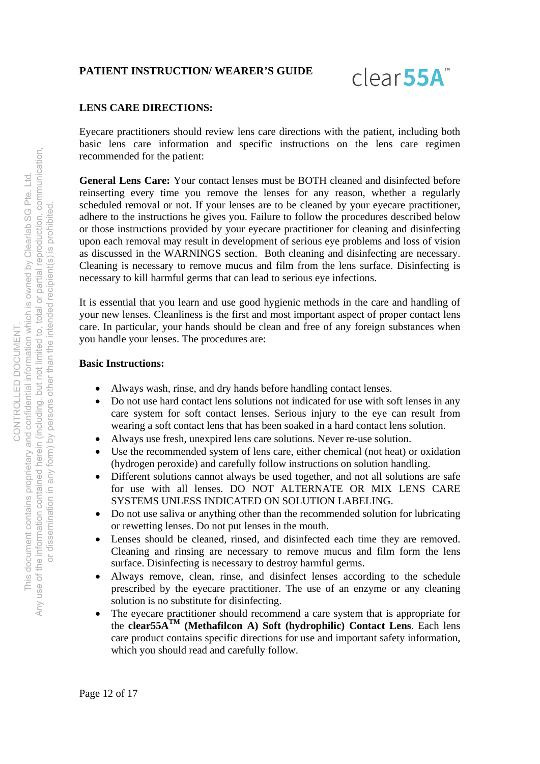

### **LENS CARE DIRECTIONS:**

Eyecare practitioners should review lens care directions with the patient, including both basic lens care information and specific instructions on the lens care regimen recommended for the patient:

**General Lens Care:** Your contact lenses must be BOTH cleaned and disinfected before reinserting every time you remove the lenses for any reason, whether a regularly scheduled removal or not. If your lenses are to be cleaned by your eyecare practitioner, adhere to the instructions he gives you. Failure to follow the procedures described below or those instructions provided by your eyecare practitioner for cleaning and disinfecting upon each removal may result in development of serious eye problems and loss of vision as discussed in the WARNINGS section. Both cleaning and disinfecting are necessary. Cleaning is necessary to remove mucus and film from the lens surface. Disinfecting is necessary to kill harmful germs that can lead to serious eye infections.

It is essential that you learn and use good hygienic methods in the care and handling of your new lenses. Cleanliness is the first and most important aspect of proper contact lens care. In particular, your hands should be clean and free of any foreign substances when you handle your lenses. The procedures are:

#### **Basic Instructions:**

- Always wash, rinse, and dry hands before handling contact lenses.
- Do not use hard contact lens solutions not indicated for use with soft lenses in any care system for soft contact lenses. Serious injury to the eye can result from wearing a soft contact lens that has been soaked in a hard contact lens solution.
- Always use fresh, unexpired lens care solutions. Never re-use solution.
- Use the recommended system of lens care, either chemical (not heat) or oxidation (hydrogen peroxide) and carefully follow instructions on solution handling.
- Different solutions cannot always be used together, and not all solutions are safe for use with all lenses. DO NOT ALTERNATE OR MIX LENS CARE SYSTEMS UNLESS INDICATED ON SOLUTION LABELING.
- Do not use saliva or anything other than the recommended solution for lubricating or rewetting lenses. Do not put lenses in the mouth.
- Lenses should be cleaned, rinsed, and disinfected each time they are removed. Cleaning and rinsing are necessary to remove mucus and film form the lens surface. Disinfecting is necessary to destroy harmful germs.
- Always remove, clean, rinse, and disinfect lenses according to the schedule prescribed by the eyecare practitioner. The use of an enzyme or any cleaning solution is no substitute for disinfecting.
- The eyecare practitioner should recommend a care system that is appropriate for the **clear55ATM (Methafilcon A) Soft (hydrophilic) Contact Lens**. Each lens care product contains specific directions for use and important safety information, which you should read and carefully follow.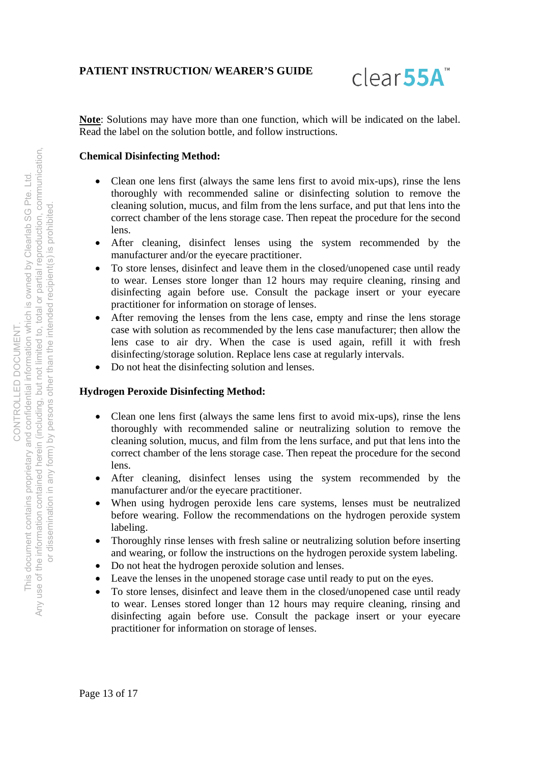

**Note**: Solutions may have more than one function, which will be indicated on the label. Read the label on the solution bottle, and follow instructions.

## **Chemical Disinfecting Method:**

- Clean one lens first (always the same lens first to avoid mix-ups), rinse the lens thoroughly with recommended saline or disinfecting solution to remove the cleaning solution, mucus, and film from the lens surface, and put that lens into the correct chamber of the lens storage case. Then repeat the procedure for the second lens.
- After cleaning, disinfect lenses using the system recommended by the manufacturer and/or the eyecare practitioner.
- To store lenses, disinfect and leave them in the closed/unopened case until ready to wear. Lenses store longer than 12 hours may require cleaning, rinsing and disinfecting again before use. Consult the package insert or your eyecare practitioner for information on storage of lenses.
- After removing the lenses from the lens case, empty and rinse the lens storage case with solution as recommended by the lens case manufacturer; then allow the lens case to air dry. When the case is used again, refill it with fresh disinfecting/storage solution. Replace lens case at regularly intervals.
- Do not heat the disinfecting solution and lenses.

#### **Hydrogen Peroxide Disinfecting Method:**

- Clean one lens first (always the same lens first to avoid mix-ups), rinse the lens thoroughly with recommended saline or neutralizing solution to remove the cleaning solution, mucus, and film from the lens surface, and put that lens into the correct chamber of the lens storage case. Then repeat the procedure for the second lens.
- After cleaning, disinfect lenses using the system recommended by the manufacturer and/or the eyecare practitioner.
- When using hydrogen peroxide lens care systems, lenses must be neutralized before wearing. Follow the recommendations on the hydrogen peroxide system labeling.
- Thoroughly rinse lenses with fresh saline or neutralizing solution before inserting and wearing, or follow the instructions on the hydrogen peroxide system labeling.
- Do not heat the hydrogen peroxide solution and lenses.
- Leave the lenses in the unopened storage case until ready to put on the eyes.
- To store lenses, disinfect and leave them in the closed/unopened case until ready to wear. Lenses stored longer than 12 hours may require cleaning, rinsing and disinfecting again before use. Consult the package insert or your eyecare practitioner for information on storage of lenses.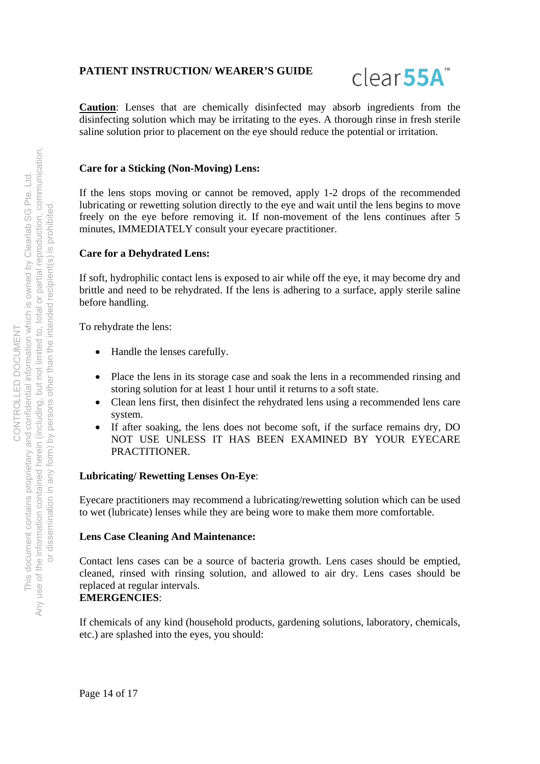

**Caution**: Lenses that are chemically disinfected may absorb ingredients from the disinfecting solution which may be irritating to the eyes. A thorough rinse in fresh sterile saline solution prior to placement on the eye should reduce the potential or irritation.

#### **Care for a Sticking (Non-Moving) Lens:**

If the lens stops moving or cannot be removed, apply 1-2 drops of the recommended lubricating or rewetting solution directly to the eye and wait until the lens begins to move freely on the eye before removing it. If non-movement of the lens continues after 5 minutes, IMMEDIATELY consult your eyecare practitioner.

#### **Care for a Dehydrated Lens:**

If soft, hydrophilic contact lens is exposed to air while off the eye, it may become dry and brittle and need to be rehydrated. If the lens is adhering to a surface, apply sterile saline before handling.

To rehydrate the lens:

- Handle the lenses carefully.
- Place the lens in its storage case and soak the lens in a recommended rinsing and storing solution for at least 1 hour until it returns to a soft state.
- Clean lens first, then disinfect the rehydrated lens using a recommended lens care system.
- If after soaking, the lens does not become soft, if the surface remains dry, DO NOT USE UNLESS IT HAS BEEN EXAMINED BY YOUR EYECARE PRACTITIONER.

#### **Lubricating/ Rewetting Lenses On-Eye**:

Eyecare practitioners may recommend a lubricating/rewetting solution which can be used to wet (lubricate) lenses while they are being wore to make them more comfortable.

#### **Lens Case Cleaning And Maintenance:**

Contact lens cases can be a source of bacteria growth. Lens cases should be emptied, cleaned, rinsed with rinsing solution, and allowed to air dry. Lens cases should be replaced at regular intervals.

# **EMERGENCIES**:

If chemicals of any kind (household products, gardening solutions, laboratory, chemicals, etc.) are splashed into the eyes, you should: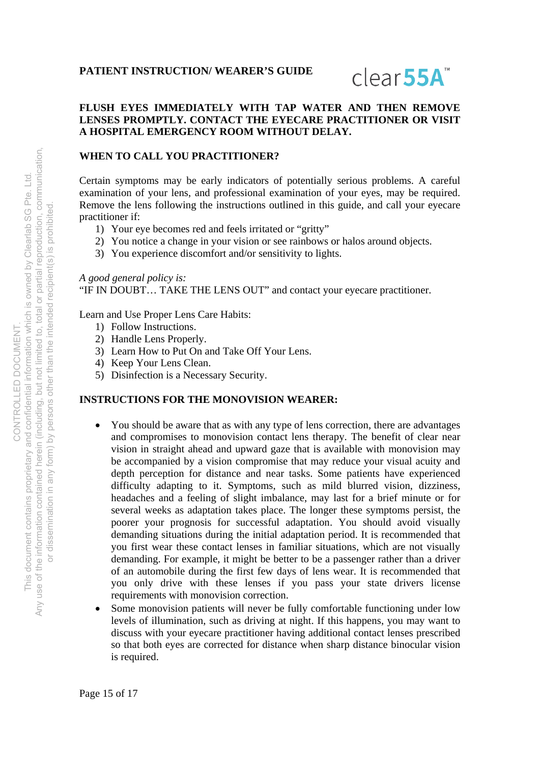

## **FLUSH EYES IMMEDIATELY WITH TAP WATER AND THEN REMOVE LENSES PROMPTLY. CONTACT THE EYECARE PRACTITIONER OR VISIT A HOSPITAL EMERGENCY ROOM WITHOUT DELAY.**

## **WHEN TO CALL YOU PRACTITIONER?**

Certain symptoms may be early indicators of potentially serious problems. A careful examination of your lens, and professional examination of your eyes, may be required. Remove the lens following the instructions outlined in this guide, and call your eyecare practitioner if:

- 1) Your eye becomes red and feels irritated or "gritty"
- 2) You notice a change in your vision or see rainbows or halos around objects.
- 3) You experience discomfort and/or sensitivity to lights.

#### *A good general policy is:*

"IF IN DOUBT… TAKE THE LENS OUT" and contact your eyecare practitioner.

Learn and Use Proper Lens Care Habits:

- 1) Follow Instructions.
- 2) Handle Lens Properly.
- 3) Learn How to Put On and Take Off Your Lens.
- 4) Keep Your Lens Clean.
- 5) Disinfection is a Necessary Security.

#### **INSTRUCTIONS FOR THE MONOVISION WEARER:**

- You should be aware that as with any type of lens correction, there are advantages and compromises to monovision contact lens therapy. The benefit of clear near vision in straight ahead and upward gaze that is available with monovision may be accompanied by a vision compromise that may reduce your visual acuity and depth perception for distance and near tasks. Some patients have experienced difficulty adapting to it. Symptoms, such as mild blurred vision, dizziness, headaches and a feeling of slight imbalance, may last for a brief minute or for several weeks as adaptation takes place. The longer these symptoms persist, the poorer your prognosis for successful adaptation. You should avoid visually demanding situations during the initial adaptation period. It is recommended that you first wear these contact lenses in familiar situations, which are not visually demanding. For example, it might be better to be a passenger rather than a driver of an automobile during the first few days of lens wear. It is recommended that you only drive with these lenses if you pass your state drivers license requirements with monovision correction.
- Some monovision patients will never be fully comfortable functioning under low levels of illumination, such as driving at night. If this happens, you may want to discuss with your eyecare practitioner having additional contact lenses prescribed so that both eyes are corrected for distance when sharp distance binocular vision is required.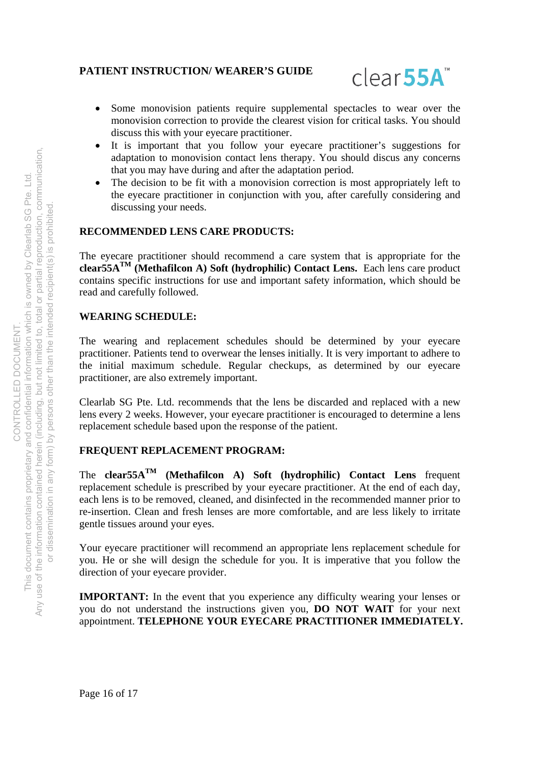

- Some monovision patients require supplemental spectacles to wear over the monovision correction to provide the clearest vision for critical tasks. You should discuss this with your eyecare practitioner.
- It is important that you follow your eyecare practitioner's suggestions for adaptation to monovision contact lens therapy. You should discus any concerns that you may have during and after the adaptation period.
- The decision to be fit with a monovision correction is most appropriately left to the eyecare practitioner in conjunction with you, after carefully considering and discussing your needs.

## **RECOMMENDED LENS CARE PRODUCTS:**

The eyecare practitioner should recommend a care system that is appropriate for the **clear55ATM (Methafilcon A) Soft (hydrophilic) Contact Lens.** Each lens care product contains specific instructions for use and important safety information, which should be read and carefully followed.

#### **WEARING SCHEDULE:**

The wearing and replacement schedules should be determined by your eyecare practitioner. Patients tend to overwear the lenses initially. It is very important to adhere to the initial maximum schedule. Regular checkups, as determined by our eyecare practitioner, are also extremely important.

Clearlab SG Pte. Ltd. recommends that the lens be discarded and replaced with a new lens every 2 weeks. However, your eyecare practitioner is encouraged to determine a lens replacement schedule based upon the response of the patient.

## **FREQUENT REPLACEMENT PROGRAM:**

The **clear55ATM (Methafilcon A) Soft (hydrophilic) Contact Lens** frequent replacement schedule is prescribed by your eyecare practitioner. At the end of each day, each lens is to be removed, cleaned, and disinfected in the recommended manner prior to re-insertion. Clean and fresh lenses are more comfortable, and are less likely to irritate gentle tissues around your eyes.

Your eyecare practitioner will recommend an appropriate lens replacement schedule for you. He or she will design the schedule for you. It is imperative that you follow the direction of your eyecare provider.

**IMPORTANT:** In the event that you experience any difficulty wearing your lenses or you do not understand the instructions given you, **DO NOT WAIT** for your next appointment. **TELEPHONE YOUR EYECARE PRACTITIONER IMMEDIATELY.**